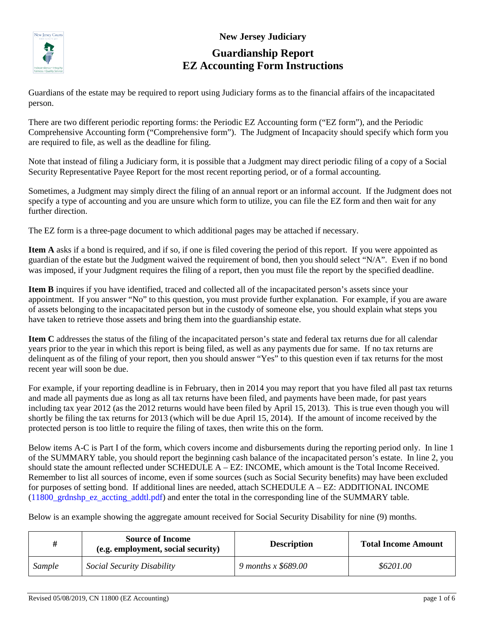

## **New Jersey Judiciary Guardianship Report EZ Accounting Form Instructions**

Guardians of the estate may be required to report using Judiciary forms as to the financial affairs of the incapacitated person.

There are two different periodic reporting forms: the Periodic EZ Accounting form ("EZ form"), and the Periodic Comprehensive Accounting form ("Comprehensive form"). The Judgment of Incapacity should specify which form you are required to file, as well as the deadline for filing.

Note that instead of filing a Judiciary form, it is possible that a Judgment may direct periodic filing of a copy of a Social Security Representative Payee Report for the most recent reporting period, or of a formal accounting.

Sometimes, a Judgment may simply direct the filing of an annual report or an informal account. If the Judgment does not specify a type of accounting and you are unsure which form to utilize, you can file the EZ form and then wait for any further direction.

The EZ form is a three-page document to which additional pages may be attached if necessary.

**Item A** asks if a bond is required, and if so, if one is filed covering the period of this report. If you were appointed as guardian of the estate but the Judgment waived the requirement of bond, then you should select "N/A". Even if no bond was imposed, if your Judgment requires the filing of a report, then you must file the report by the specified deadline.

**Item B** inquires if you have identified, traced and collected all of the incapacitated person's assets since your appointment. If you answer "No" to this question, you must provide further explanation. For example, if you are aware of assets belonging to the incapacitated person but in the custody of someone else, you should explain what steps you have taken to retrieve those assets and bring them into the guardianship estate.

**Item C** addresses the status of the filing of the incapacitated person's state and federal tax returns due for all calendar years prior to the year in which this report is being filed, as well as any payments due for same. If no tax returns are delinquent as of the filing of your report, then you should answer "Yes" to this question even if tax returns for the most recent year will soon be due.

For example, if your reporting deadline is in February, then in 2014 you may report that you have filed all past tax returns and made all payments due as long as all tax returns have been filed, and payments have been made, for past years including tax year 2012 (as the 2012 returns would have been filed by April 15, 2013). This is true even though you will shortly be filing the tax returns for 2013 (which will be due April 15, 2014). If the amount of income received by the protected person is too little to require the filing of taxes, then write this on the form.

Below items A-C is Part I of the form, which covers income and disbursements during the reporting period only. In line 1 of the SUMMARY table, you should report the beginning cash balance of the incapacitated person's estate. In line 2, you should state the amount reflected under SCHEDULE A – EZ: INCOME, which amount is the Total Income Received. Remember to list all sources of income, even if some sources (such as Social Security benefits) may have been excluded for purposes of setting bond. If additional lines are needed, attach SCHEDULE A – EZ: ADDITIONAL INCOME [\(11800\\_grdnshp\\_ez\\_accting\\_addtl.pdf\)](http://www.njcourts.gov/forms/11800_grdnshp_ez_accting_addtl.pdf) and enter the total in the corresponding line of the SUMMARY table.

Below is an example showing the aggregate amount received for Social Security Disability for nine (9) months.

| #      | <b>Source of Income</b><br>(e.g. employment, social security) | <b>Description</b>  | <b>Total Income Amount</b> |  |
|--------|---------------------------------------------------------------|---------------------|----------------------------|--|
| Sample | Social Security Disability                                    | 9 months x \$689.00 | \$6201.00                  |  |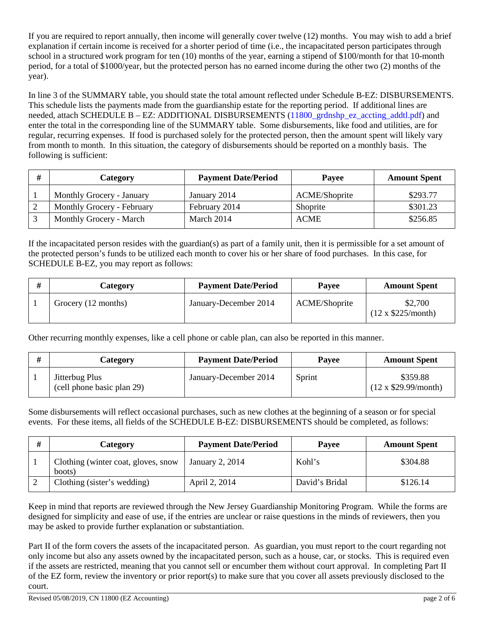If you are required to report annually, then income will generally cover twelve (12) months. You may wish to add a brief explanation if certain income is received for a shorter period of time (i.e., the incapacitated person participates through school in a structured work program for ten (10) months of the year, earning a stipend of \$100/month for that 10-month period, for a total of \$1000/year, but the protected person has no earned income during the other two (2) months of the year).

In line 3 of the SUMMARY table, you should state the total amount reflected under Schedule B-EZ: DISBURSEMENTS. This schedule lists the payments made from the guardianship estate for the reporting period. If additional lines are needed, attach SCHEDULE B – EZ: ADDITIONAL DISBURSEMENTS (11800 grdnshp ez accting addtl.pdf) and enter the total in the corresponding line of the SUMMARY table. Some disbursements, like food and utilities, are for regular, recurring expenses. If food is purchased solely for the protected person, then the amount spent will likely vary from month to month. In this situation, the category of disbursements should be reported on a monthly basis. The following is sufficient:

| # | Category                   | <b>Payment Date/Period</b> | <b>Pavee</b>         | <b>Amount Spent</b> |
|---|----------------------------|----------------------------|----------------------|---------------------|
|   | Monthly Grocery - January  | January 2014               | <b>ACME/Shoprite</b> | \$293.77            |
|   | Monthly Grocery - February | February 2014              | Shoprite             | \$301.23            |
|   | Monthly Grocery - March    | March 2014                 | <b>ACME</b>          | \$256.85            |

If the incapacitated person resides with the guardian(s) as part of a family unit, then it is permissible for a set amount of the protected person's funds to be utilized each month to cover his or her share of food purchases. In this case, for SCHEDULE B-EZ, you may report as follows:

| Category            | <b>Payment Date/Period</b> | <b>Pavee</b>         | <b>Amount Spent</b>                 |
|---------------------|----------------------------|----------------------|-------------------------------------|
| Grocery (12 months) | January-December 2014      | <b>ACME/Shoprite</b> | \$2,700<br>$(12 \times $225/month)$ |

Other recurring monthly expenses, like a cell phone or cable plan, can also be reported in this manner.

| Category                                     | <b>Payment Date/Period</b> | <b>Pavee</b> | <b>Amount Spent</b>                    |
|----------------------------------------------|----------------------------|--------------|----------------------------------------|
| Jitterbug Plus<br>(cell phone basic plan 29) | January-December 2014      | Sprint       | \$359.88<br>$(12 \times $29.99/month)$ |

Some disbursements will reflect occasional purchases, such as new clothes at the beginning of a season or for special events. For these items, all fields of the SCHEDULE B-EZ: DISBURSEMENTS should be completed, as follows:

| # | <b>Category</b>                               | <b>Payment Date/Period</b> | <b>Pavee</b>   | <b>Amount Spent</b> |
|---|-----------------------------------------------|----------------------------|----------------|---------------------|
|   | Clothing (winter coat, gloves, snow<br>boots) | January 2, 2014            | Kohl's         | \$304.88            |
|   | Clothing (sister's wedding)                   | April 2, 2014              | David's Bridal | \$126.14            |

Keep in mind that reports are reviewed through the New Jersey Guardianship Monitoring Program. While the forms are designed for simplicity and ease of use, if the entries are unclear or raise questions in the minds of reviewers, then you may be asked to provide further explanation or substantiation.

Part II of the form covers the assets of the incapacitated person. As guardian, you must report to the court regarding not only income but also any assets owned by the incapacitated person, such as a house, car, or stocks. This is required even if the assets are restricted, meaning that you cannot sell or encumber them without court approval. In completing Part II of the EZ form, review the inventory or prior report(s) to make sure that you cover all assets previously disclosed to the court.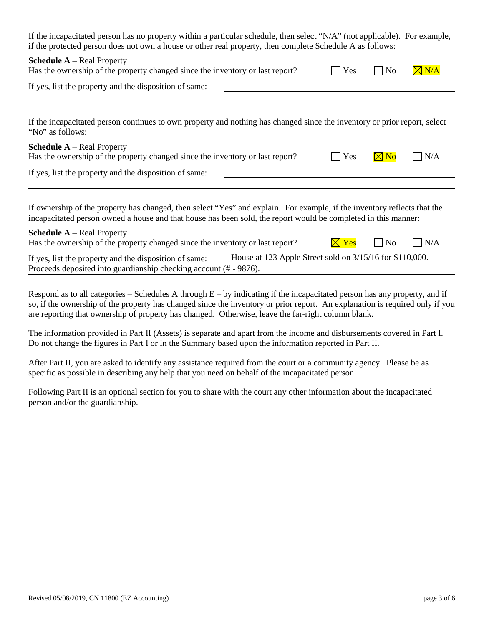| If the incapacitated person has no property within a particular schedule, then select "N/A" (not applicable). For example,<br>if the protected person does not own a house or other real property, then complete Schedule A as follows:                                                                                                                                                          |  |  |  |  |
|--------------------------------------------------------------------------------------------------------------------------------------------------------------------------------------------------------------------------------------------------------------------------------------------------------------------------------------------------------------------------------------------------|--|--|--|--|
| <b>Schedule A</b> – Real Property<br>$\boxtimes$ N/A<br>Has the ownership of the property changed since the inventory or last report?<br>Yes<br>No                                                                                                                                                                                                                                               |  |  |  |  |
| If yes, list the property and the disposition of same:                                                                                                                                                                                                                                                                                                                                           |  |  |  |  |
| If the incapacitated person continues to own property and nothing has changed since the inventory or prior report, select<br>"No" as follows:                                                                                                                                                                                                                                                    |  |  |  |  |
| <b>Schedule A</b> – Real Property<br>N/A<br>Has the ownership of the property changed since the inventory or last report?<br>Yes                                                                                                                                                                                                                                                                 |  |  |  |  |
| If yes, list the property and the disposition of same:                                                                                                                                                                                                                                                                                                                                           |  |  |  |  |
| If ownership of the property has changed, then select "Yes" and explain. For example, if the inventory reflects that the<br>incapacitated person owned a house and that house has been sold, the report would be completed in this manner:<br><b>Schedule A</b> – Real Property<br>Has the ownership of the property changed since the inventory or last report?<br>N/A<br>N <sub>0</sub><br>Yes |  |  |  |  |

| If yes, list the property and the disposition of same:            | House at 123 Apple Street sold on 3/15/16 for \$110,000. |
|-------------------------------------------------------------------|----------------------------------------------------------|
| Proceeds deposited into guardianship checking account (# - 9876). |                                                          |

Respond as to all categories – Schedules A through  $E - by$  indicating if the incapacitated person has any property, and if so, if the ownership of the property has changed since the inventory or prior report. An explanation is required only if you are reporting that ownership of property has changed. Otherwise, leave the far-right column blank.

The information provided in Part II (Assets) is separate and apart from the income and disbursements covered in Part I. Do not change the figures in Part I or in the Summary based upon the information reported in Part II.

After Part II, you are asked to identify any assistance required from the court or a community agency. Please be as specific as possible in describing any help that you need on behalf of the incapacitated person.

Following Part II is an optional section for you to share with the court any other information about the incapacitated person and/or the guardianship.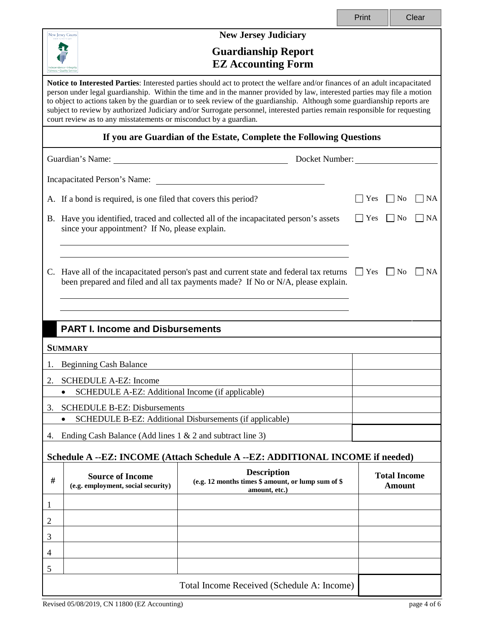|                                                                               |                                                                                                                                                                                                                                                                                                                                                                                                                                                                                                                                                                                         |                                                                                                                                                                              | Print                |                                      | Clear     |  |
|-------------------------------------------------------------------------------|-----------------------------------------------------------------------------------------------------------------------------------------------------------------------------------------------------------------------------------------------------------------------------------------------------------------------------------------------------------------------------------------------------------------------------------------------------------------------------------------------------------------------------------------------------------------------------------------|------------------------------------------------------------------------------------------------------------------------------------------------------------------------------|----------------------|--------------------------------------|-----------|--|
|                                                                               | New Jersey Courts                                                                                                                                                                                                                                                                                                                                                                                                                                                                                                                                                                       | <b>New Jersey Judiciary</b>                                                                                                                                                  |                      |                                      |           |  |
|                                                                               | <b>Guardianship Report</b><br><b>EZ Accounting Form</b>                                                                                                                                                                                                                                                                                                                                                                                                                                                                                                                                 |                                                                                                                                                                              |                      |                                      |           |  |
|                                                                               | Notice to Interested Parties: Interested parties should act to protect the welfare and/or finances of an adult incapacitated<br>person under legal guardianship. Within the time and in the manner provided by law, interested parties may file a motion<br>to object to actions taken by the guardian or to seek review of the guardianship. Although some guardianship reports are<br>subject to review by authorized Judiciary and/or Surrogate personnel, interested parties remain responsible for requesting<br>court review as to any misstatements or misconduct by a guardian. |                                                                                                                                                                              |                      |                                      |           |  |
|                                                                               |                                                                                                                                                                                                                                                                                                                                                                                                                                                                                                                                                                                         | If you are Guardian of the Estate, Complete the Following Questions                                                                                                          |                      |                                      |           |  |
|                                                                               | Guardian's Name: University of the Contract of the Contract of the Contract of the Contract of the Contract of the Contract of the Contract of the Contract of the Contract of the Contract of the Contract of the Contract of                                                                                                                                                                                                                                                                                                                                                          |                                                                                                                                                                              | Docket Number:       |                                      |           |  |
|                                                                               |                                                                                                                                                                                                                                                                                                                                                                                                                                                                                                                                                                                         |                                                                                                                                                                              |                      |                                      |           |  |
|                                                                               | A. If a bond is required, is one filed that covers this period?                                                                                                                                                                                                                                                                                                                                                                                                                                                                                                                         |                                                                                                                                                                              | $\vert$ Yes          | $\vert$ No                           | NA        |  |
|                                                                               | since your appointment? If No, please explain.                                                                                                                                                                                                                                                                                                                                                                                                                                                                                                                                          | B. Have you identified, traced and collected all of the incapacitated person's assets                                                                                        | $\Box$ Yes           | $\Box$ No                            | NA        |  |
|                                                                               |                                                                                                                                                                                                                                                                                                                                                                                                                                                                                                                                                                                         |                                                                                                                                                                              |                      |                                      |           |  |
|                                                                               |                                                                                                                                                                                                                                                                                                                                                                                                                                                                                                                                                                                         | C. Have all of the incapacitated person's past and current state and federal tax returns<br>been prepared and filed and all tax payments made? If No or N/A, please explain. | $\Box$ Yes $\Box$ No |                                      | <b>NA</b> |  |
|                                                                               |                                                                                                                                                                                                                                                                                                                                                                                                                                                                                                                                                                                         |                                                                                                                                                                              |                      |                                      |           |  |
|                                                                               | <b>PART I. Income and Disbursements</b>                                                                                                                                                                                                                                                                                                                                                                                                                                                                                                                                                 |                                                                                                                                                                              |                      |                                      |           |  |
|                                                                               | <b>SUMMARY</b>                                                                                                                                                                                                                                                                                                                                                                                                                                                                                                                                                                          |                                                                                                                                                                              |                      |                                      |           |  |
|                                                                               | <b>Beginning Cash Balance</b>                                                                                                                                                                                                                                                                                                                                                                                                                                                                                                                                                           |                                                                                                                                                                              |                      |                                      |           |  |
| 2.                                                                            | <b>SCHEDULE A-EZ: Income</b>                                                                                                                                                                                                                                                                                                                                                                                                                                                                                                                                                            |                                                                                                                                                                              |                      |                                      |           |  |
|                                                                               | SCHEDULE A-EZ: Additional Income (if applicable)<br>$\bullet$                                                                                                                                                                                                                                                                                                                                                                                                                                                                                                                           |                                                                                                                                                                              |                      |                                      |           |  |
| 3.                                                                            | <b>SCHEDULE B-EZ: Disbursements</b>                                                                                                                                                                                                                                                                                                                                                                                                                                                                                                                                                     |                                                                                                                                                                              |                      |                                      |           |  |
|                                                                               | SCHEDULE B-EZ: Additional Disbursements (if applicable)<br>$\bullet$                                                                                                                                                                                                                                                                                                                                                                                                                                                                                                                    |                                                                                                                                                                              |                      |                                      |           |  |
| 4.                                                                            | Ending Cash Balance (Add lines $1 \& 2$ and subtract line 3)                                                                                                                                                                                                                                                                                                                                                                                                                                                                                                                            |                                                                                                                                                                              |                      |                                      |           |  |
| Schedule A --EZ: INCOME (Attach Schedule A --EZ: ADDITIONAL INCOME if needed) |                                                                                                                                                                                                                                                                                                                                                                                                                                                                                                                                                                                         |                                                                                                                                                                              |                      |                                      |           |  |
| #                                                                             | <b>Source of Income</b><br>(e.g. employment, social security)                                                                                                                                                                                                                                                                                                                                                                                                                                                                                                                           | <b>Description</b><br>(e.g. 12 months times \$ amount, or lump sum of \$<br>amount, etc.)                                                                                    |                      | <b>Total Income</b><br><b>Amount</b> |           |  |
| 1                                                                             |                                                                                                                                                                                                                                                                                                                                                                                                                                                                                                                                                                                         |                                                                                                                                                                              |                      |                                      |           |  |
| 2                                                                             |                                                                                                                                                                                                                                                                                                                                                                                                                                                                                                                                                                                         |                                                                                                                                                                              |                      |                                      |           |  |
| 3                                                                             |                                                                                                                                                                                                                                                                                                                                                                                                                                                                                                                                                                                         |                                                                                                                                                                              |                      |                                      |           |  |
| 4                                                                             |                                                                                                                                                                                                                                                                                                                                                                                                                                                                                                                                                                                         |                                                                                                                                                                              |                      |                                      |           |  |
| 5                                                                             |                                                                                                                                                                                                                                                                                                                                                                                                                                                                                                                                                                                         |                                                                                                                                                                              |                      |                                      |           |  |
| Total Income Received (Schedule A: Income)                                    |                                                                                                                                                                                                                                                                                                                                                                                                                                                                                                                                                                                         |                                                                                                                                                                              |                      |                                      |           |  |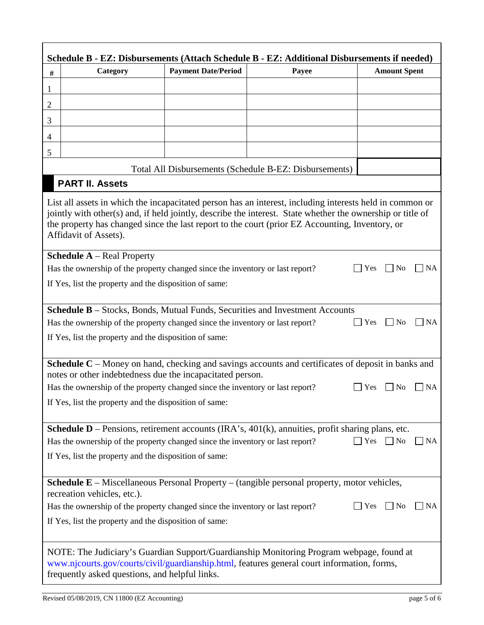|                | Schedule B - EZ: Disbursements (Attach Schedule B - EZ: Additional Disbursements if needed)                                                                                                                                                                                                                                                        |                            |                                                        |                                      |  |
|----------------|----------------------------------------------------------------------------------------------------------------------------------------------------------------------------------------------------------------------------------------------------------------------------------------------------------------------------------------------------|----------------------------|--------------------------------------------------------|--------------------------------------|--|
| $\#$           | Category                                                                                                                                                                                                                                                                                                                                           | <b>Payment Date/Period</b> | Payee                                                  | <b>Amount Spent</b>                  |  |
| $\mathbf{1}$   |                                                                                                                                                                                                                                                                                                                                                    |                            |                                                        |                                      |  |
| $\mathbf{2}$   |                                                                                                                                                                                                                                                                                                                                                    |                            |                                                        |                                      |  |
| 3              |                                                                                                                                                                                                                                                                                                                                                    |                            |                                                        |                                      |  |
| $\overline{4}$ |                                                                                                                                                                                                                                                                                                                                                    |                            |                                                        |                                      |  |
| $\mathfrak{S}$ |                                                                                                                                                                                                                                                                                                                                                    |                            |                                                        |                                      |  |
|                |                                                                                                                                                                                                                                                                                                                                                    |                            | Total All Disbursements (Schedule B-EZ: Disbursements) |                                      |  |
|                | <b>PART II. Assets</b>                                                                                                                                                                                                                                                                                                                             |                            |                                                        |                                      |  |
|                | List all assets in which the incapacitated person has an interest, including interests held in common or<br>jointly with other(s) and, if held jointly, describe the interest. State whether the ownership or title of<br>the property has changed since the last report to the court (prior EZ Accounting, Inventory, or<br>Affidavit of Assets). |                            |                                                        |                                      |  |
|                | <b>Schedule A</b> – Real Property                                                                                                                                                                                                                                                                                                                  |                            |                                                        |                                      |  |
|                | Has the ownership of the property changed since the inventory or last report?                                                                                                                                                                                                                                                                      |                            |                                                        | <b>NA</b><br>Yes<br>No               |  |
|                | If Yes, list the property and the disposition of same:                                                                                                                                                                                                                                                                                             |                            |                                                        |                                      |  |
|                | Schedule B - Stocks, Bonds, Mutual Funds, Securities and Investment Accounts                                                                                                                                                                                                                                                                       |                            |                                                        |                                      |  |
|                | Has the ownership of the property changed since the inventory or last report?                                                                                                                                                                                                                                                                      |                            |                                                        | <b>Yes</b><br>$\Box$ No<br>$\Box$ NA |  |
|                | If Yes, list the property and the disposition of same:                                                                                                                                                                                                                                                                                             |                            |                                                        |                                      |  |
|                |                                                                                                                                                                                                                                                                                                                                                    |                            |                                                        |                                      |  |
|                | <b>Schedule C</b> – Money on hand, checking and savings accounts and certificates of deposit in banks and                                                                                                                                                                                                                                          |                            |                                                        |                                      |  |
|                | notes or other indebtedness due the incapacitated person.<br>Has the ownership of the property changed since the inventory or last report?<br>Yes<br><b>NA</b><br>N <sub>0</sub>                                                                                                                                                                   |                            |                                                        |                                      |  |
|                | If Yes, list the property and the disposition of same:                                                                                                                                                                                                                                                                                             |                            |                                                        |                                      |  |
|                |                                                                                                                                                                                                                                                                                                                                                    |                            |                                                        |                                      |  |
|                | <b>Schedule D</b> – Pensions, retirement accounts (IRA's, $401(k)$ , annuities, profit sharing plans, etc.                                                                                                                                                                                                                                         |                            |                                                        |                                      |  |
|                | Has the ownership of the property changed since the inventory or last report?<br>$\Box$ Yes<br>$\Box$ No<br>$\Box$ NA                                                                                                                                                                                                                              |                            |                                                        |                                      |  |
|                | If Yes, list the property and the disposition of same:                                                                                                                                                                                                                                                                                             |                            |                                                        |                                      |  |
|                | <b>Schedule E</b> – Miscellaneous Personal Property – (tangible personal property, motor vehicles,<br>recreation vehicles, etc.).                                                                                                                                                                                                                  |                            |                                                        |                                      |  |
|                | Has the ownership of the property changed since the inventory or last report?                                                                                                                                                                                                                                                                      |                            |                                                        | Yes<br>$ $ No<br><b>NA</b>           |  |
|                | If Yes, list the property and the disposition of same:                                                                                                                                                                                                                                                                                             |                            |                                                        |                                      |  |
|                |                                                                                                                                                                                                                                                                                                                                                    |                            |                                                        |                                      |  |
|                | NOTE: The Judiciary's Guardian Support/Guardianship Monitoring Program webpage, found at<br>www.njcourts.gov/courts/civil/guardianship.html, features general court information, forms,<br>frequently asked questions, and helpful links.                                                                                                          |                            |                                                        |                                      |  |

Г